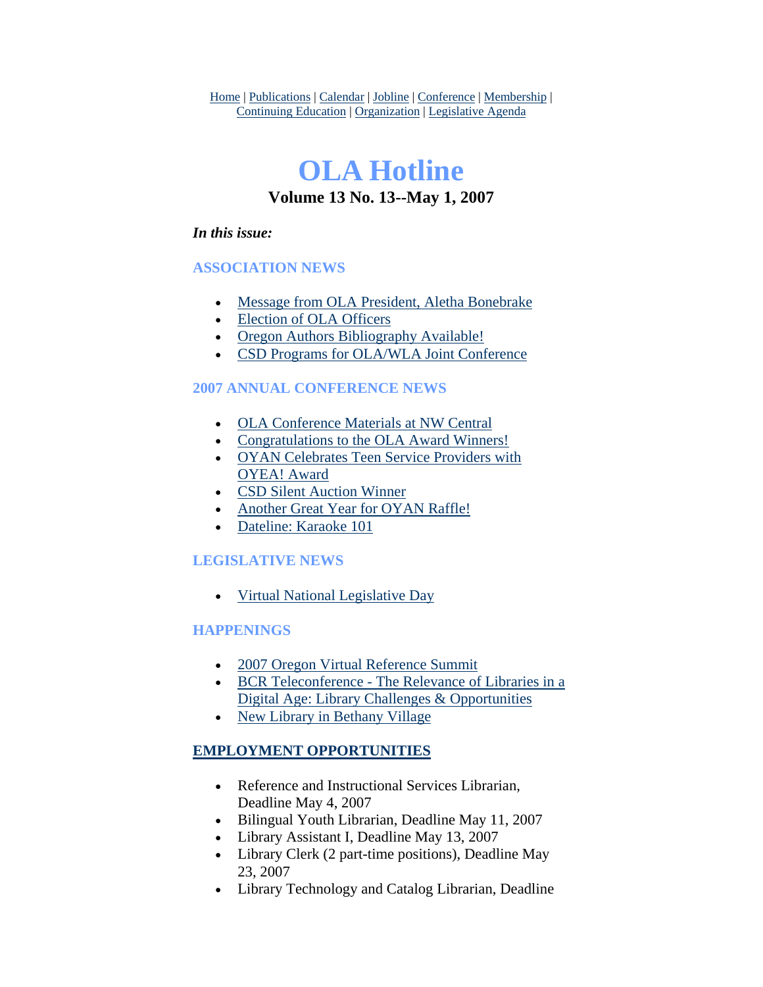Home | Publications | Calendar | Jobline | Conference | Membership | Continuing Education | Organization | Legislative Agenda

# **OLA Hotline Volume 13 No. 13--May 1, 2007**

### *In this issue:*

## **ASSOCIATION NEWS**

- [Message from OLA President, Aletha Bonebrake](#page-1-0)
- [Election of OLA Officers](#page-2-0)
- [Oregon Authors Bibliography Available!](#page-3-0)
- [CSD Programs for OLA/WLA Joint Conference](#page-4-0)

## **2007 ANNUAL CONFERENCE NEWS**

- [OLA Conference Materials at NW Central](#page-4-0)
- [Congratulations to the OLA Award Winners!](#page-4-0)
- OYAN Celebrates Teen Service Providers with [OYEA! Award](#page-6-0)
- [CSD Silent Auction Winner](#page-7-0)
- [Another Great Year for OYAN Raffle!](#page-7-0)
- [Dateline: Karaoke 101](#page-7-0)

## **LEGISLATIVE NEWS**

• [Virtual National Legislative Day](#page-8-0)

## **HAPPENINGS**

- [2007 Oregon Virtual Reference Summit](#page-9-0)
- [BCR Teleconference The Relevance of Libraries in a](#page-9-0)  [Digital Age: Library Challenges & Opportunities](#page-9-0)
- [New Library in Bethany Village](#page-10-0)

## **EMPLOYMENT OPPORTUNITIES**

- Reference and Instructional Services Librarian, Deadline May 4, 2007
- Bilingual Youth Librarian, Deadline May 11, 2007
- Library Assistant I, Deadline May 13, 2007
- Library Clerk (2 part-time positions), Deadline May 23, 2007
- Library Technology and Catalog Librarian, Deadline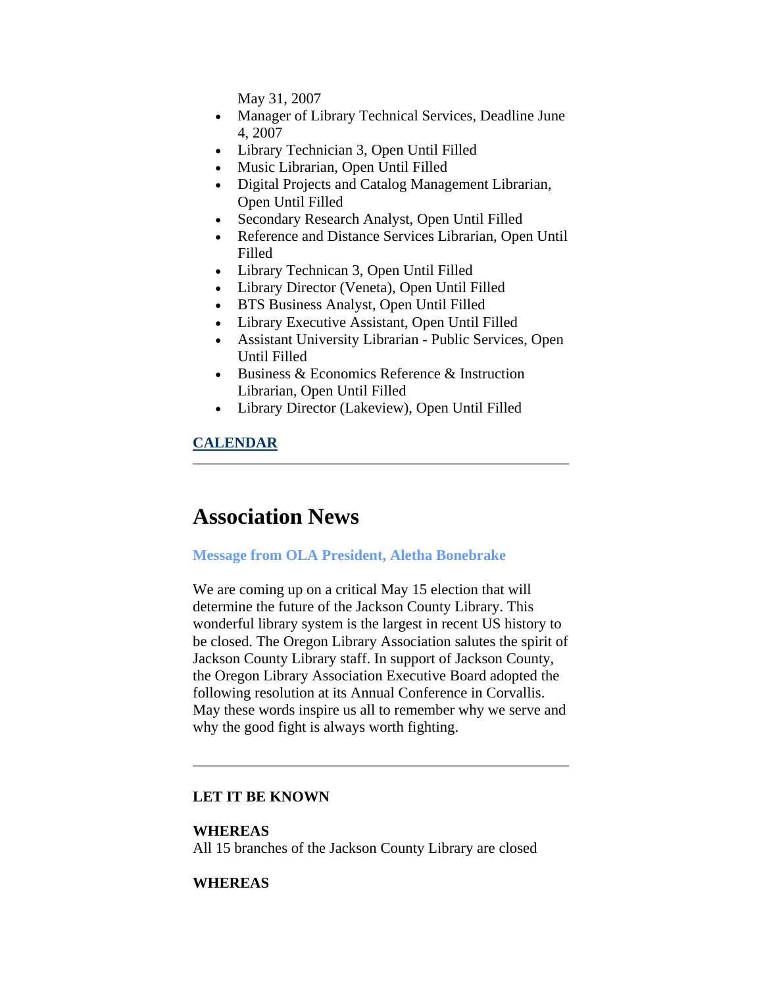May 31, 2007

- <span id="page-1-0"></span>• Manager of Library Technical Services, Deadline June 4, 2007
- Library Technician 3, Open Until Filled
- Music Librarian, Open Until Filled
- Digital Projects and Catalog Management Librarian, Open Until Filled
- Secondary Research Analyst, Open Until Filled
- Reference and Distance Services Librarian, Open Until Filled
- Library Technican 3, Open Until Filled
- Library Director (Veneta), Open Until Filled
- BTS Business Analyst, Open Until Filled
- Library Executive Assistant, Open Until Filled
- Assistant University Librarian Public Services, Open Until Filled
- Business & Economics Reference & Instruction Librarian, Open Until Filled
- Library Director (Lakeview), Open Until Filled

## **CALENDAR**

## **Association News**

#### **Message from OLA President, Aletha Bonebrake**

We are coming up on a critical May 15 election that will determine the future of the Jackson County Library. This wonderful library system is the largest in recent US history to be closed. The Oregon Library Association salutes the spirit of Jackson County Library staff. In support of Jackson County, the Oregon Library Association Executive Board adopted the following resolution at its Annual Conference in Corvallis. May these words inspire us all to remember why we serve and why the good fight is always worth fighting.

#### **LET IT BE KNOWN**

#### **WHEREAS**

All 15 branches of the Jackson County Library are closed

#### **WHEREAS**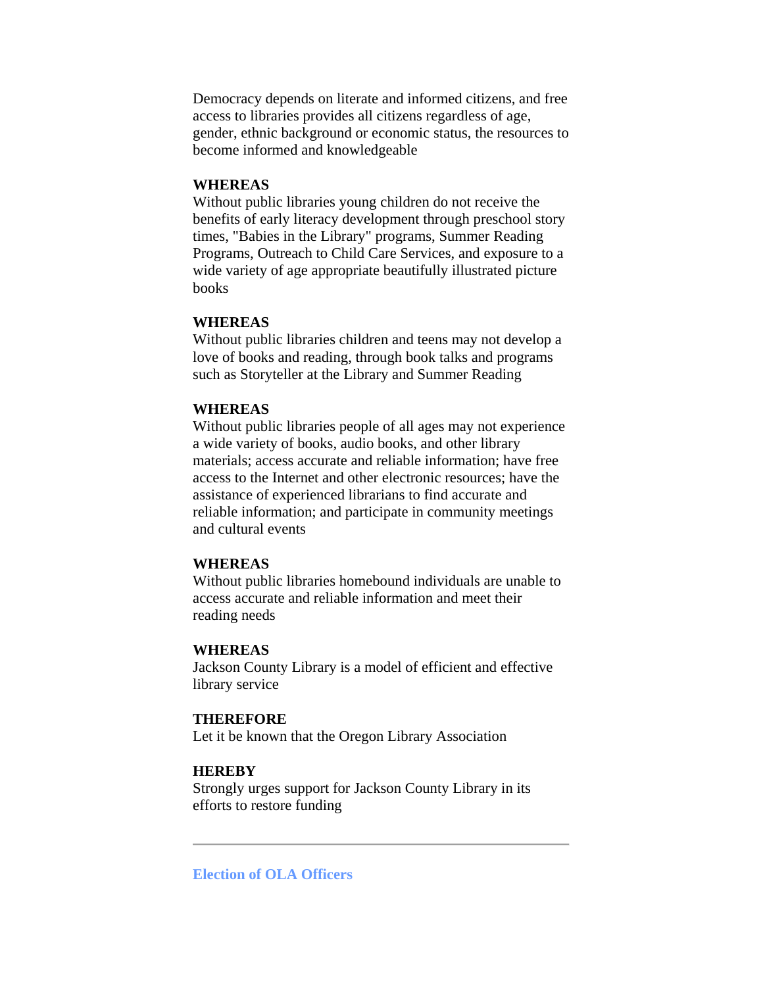<span id="page-2-0"></span>Democracy depends on literate and informed citizens, and free access to libraries provides all citizens regardless of age, gender, ethnic background or economic status, the resources to become informed and knowledgeable

#### **WHEREAS**

Without public libraries young children do not receive the benefits of early literacy development through preschool story times, "Babies in the Library" programs, Summer Reading Programs, Outreach to Child Care Services, and exposure to a wide variety of age appropriate beautifully illustrated picture books

#### **WHEREAS**

Without public libraries children and teens may not develop a love of books and reading, through book talks and programs such as Storyteller at the Library and Summer Reading

#### **WHEREAS**

Without public libraries people of all ages may not experience a wide variety of books, audio books, and other library materials; access accurate and reliable information; have free access to the Internet and other electronic resources; have the assistance of experienced librarians to find accurate and reliable information; and participate in community meetings and cultural events

#### **WHEREAS**

Without public libraries homebound individuals are unable to access accurate and reliable information and meet their reading needs

#### **WHEREAS**

Jackson County Library is a model of efficient and effective library service

#### **THEREFORE**

Let it be known that the Oregon Library Association

#### **HEREBY**

Strongly urges support for Jackson County Library in its efforts to restore funding

**Election of OLA Officers**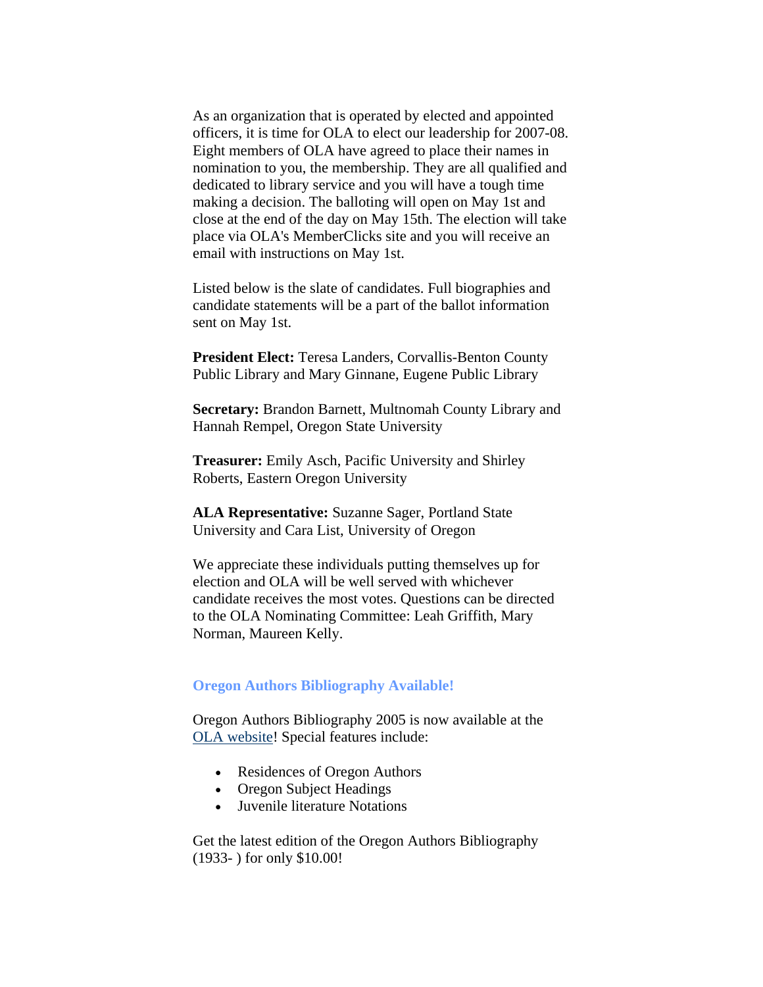<span id="page-3-0"></span>As an organization that is operated by elected and appointed officers, it is time for OLA to elect our leadership for 2007-08. Eight members of OLA have agreed to place their names in nomination to you, the membership. They are all qualified and dedicated to library service and you will have a tough time making a decision. The balloting will open on May 1st and close at the end of the day on May 15th. The election will take place via OLA's MemberClicks site and you will receive an email with instructions on May 1st.

Listed below is the slate of candidates. Full biographies and candidate statements will be a part of the ballot information sent on May 1st.

**President Elect:** Teresa Landers, Corvallis-Benton County Public Library and Mary Ginnane, Eugene Public Library

**Secretary:** Brandon Barnett, Multnomah County Library and Hannah Rempel, Oregon State University

**Treasurer:** Emily Asch, Pacific University and Shirley Roberts, Eastern Oregon University

**ALA Representative:** Suzanne Sager, Portland State University and Cara List, University of Oregon

We appreciate these individuals putting themselves up for election and OLA will be well served with whichever candidate receives the most votes. Questions can be directed to the OLA Nominating Committee: Leah Griffith, Mary Norman, Maureen Kelly.

#### **Oregon Authors Bibliography Available!**

Oregon Authors Bibliography 2005 is now available at the [OLA website](http://www.olaweb.org/)! Special features include:

- Residences of Oregon Authors
- Oregon Subject Headings
- Juvenile literature Notations

Get the latest edition of the Oregon Authors Bibliography (1933- ) for only \$10.00!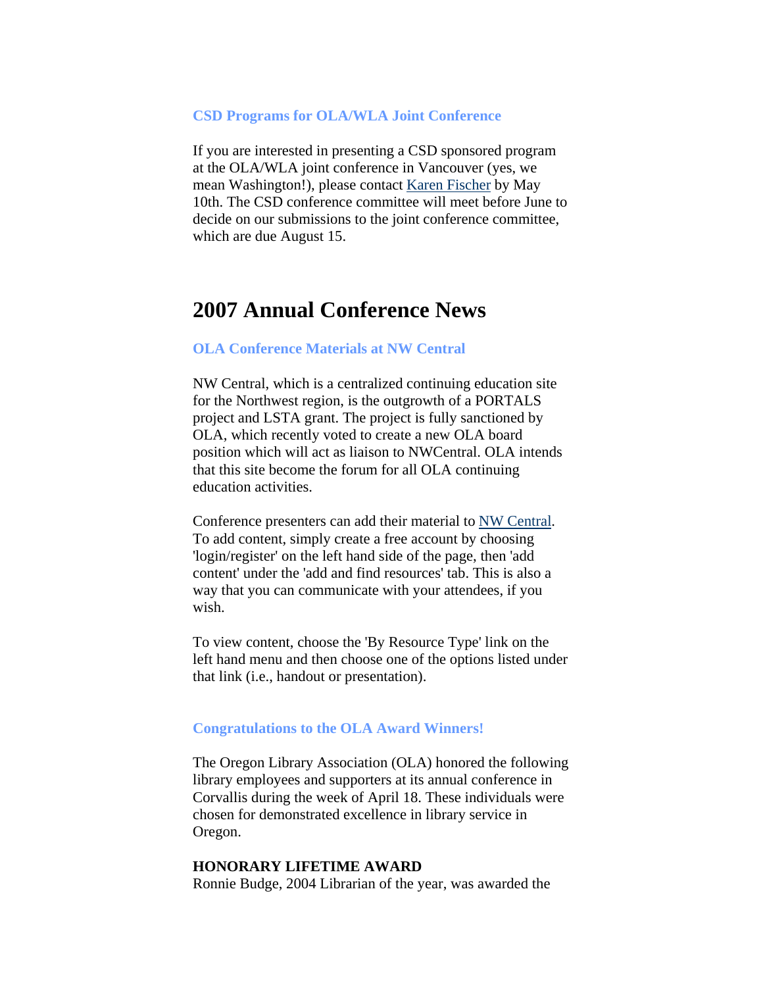#### <span id="page-4-0"></span>**CSD Programs for OLA/WLA Joint Conference**

If you are interested in presenting a CSD sponsored program at the OLA/WLA joint conference in Vancouver (yes, we mean Washington!), please contact [Karen Fischer](mailto:kfischer@cityofsalem.net) by May 10th. The CSD conference committee will meet before June to decide on our submissions to the joint conference committee, which are due August 15.

## **2007 Annual Conference News**

#### **OLA Conference Materials at NW Central**

NW Central, which is a centralized continuing education site for the Northwest region, is the outgrowth of a PORTALS project and LSTA grant. The project is fully sanctioned by OLA, which recently voted to create a new OLA board position which will act as liaison to NWCentral. OLA intends that this site become the forum for all OLA continuing education activities.

Conference presenters can add their material to [NW Central.](http://www.nwcentral.org/) To add content, simply create a free account by choosing 'login/register' on the left hand side of the page, then 'add content' under the 'add and find resources' tab. This is also a way that you can communicate with your attendees, if you wish.

To view content, choose the 'By Resource Type' link on the left hand menu and then choose one of the options listed under that link (i.e., handout or presentation).

#### **Congratulations to the OLA Award Winners!**

The Oregon Library Association (OLA) honored the following library employees and supporters at its annual conference in Corvallis during the week of April 18. These individuals were chosen for demonstrated excellence in library service in Oregon.

#### **HONORARY LIFETIME AWARD**

Ronnie Budge, 2004 Librarian of the year, was awarded the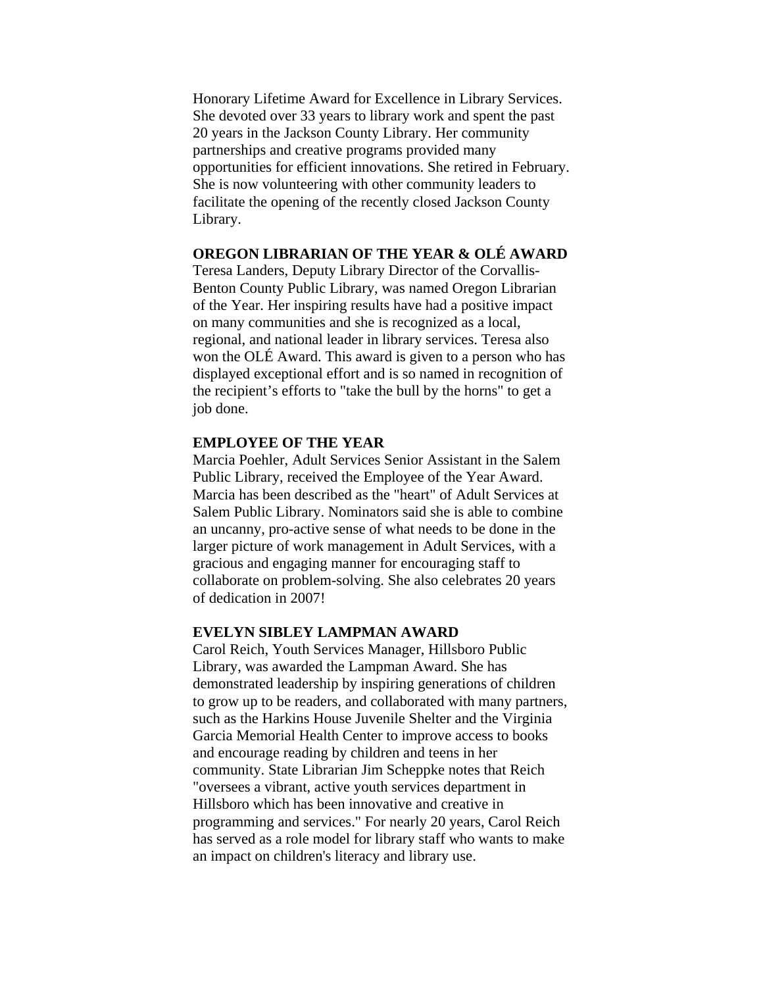Honorary Lifetime Award for Excellence in Library Services. She devoted over 33 years to library work and spent the past 20 years in the Jackson County Library. Her community partnerships and creative programs provided many opportunities for efficient innovations. She retired in February. She is now volunteering with other community leaders to facilitate the opening of the recently closed Jackson County Library.

### **OREGON LIBRARIAN OF THE YEAR & OLÉ AWARD**

Teresa Landers, Deputy Library Director of the Corvallis-Benton County Public Library, was named Oregon Librarian of the Year. Her inspiring results have had a positive impact on many communities and she is recognized as a local, regional, and national leader in library services. Teresa also won the OLÉ Award. This award is given to a person who has displayed exceptional effort and is so named in recognition of the recipient's efforts to "take the bull by the horns" to get a job done.

#### **EMPLOYEE OF THE YEAR**

Marcia Poehler, Adult Services Senior Assistant in the Salem Public Library, received the Employee of the Year Award. Marcia has been described as the "heart" of Adult Services at Salem Public Library. Nominators said she is able to combine an uncanny, pro-active sense of what needs to be done in the larger picture of work management in Adult Services, with a gracious and engaging manner for encouraging staff to collaborate on problem-solving. She also celebrates 20 years of dedication in 2007!

#### **EVELYN SIBLEY LAMPMAN AWARD**

Carol Reich, Youth Services Manager, Hillsboro Public Library, was awarded the Lampman Award. She has demonstrated leadership by inspiring generations of children to grow up to be readers, and collaborated with many partners, such as the Harkins House Juvenile Shelter and the Virginia Garcia Memorial Health Center to improve access to books and encourage reading by children and teens in her community. State Librarian Jim Scheppke notes that Reich "oversees a vibrant, active youth services department in Hillsboro which has been innovative and creative in programming and services." For nearly 20 years, Carol Reich has served as a role model for library staff who wants to make an impact on children's literacy and library use.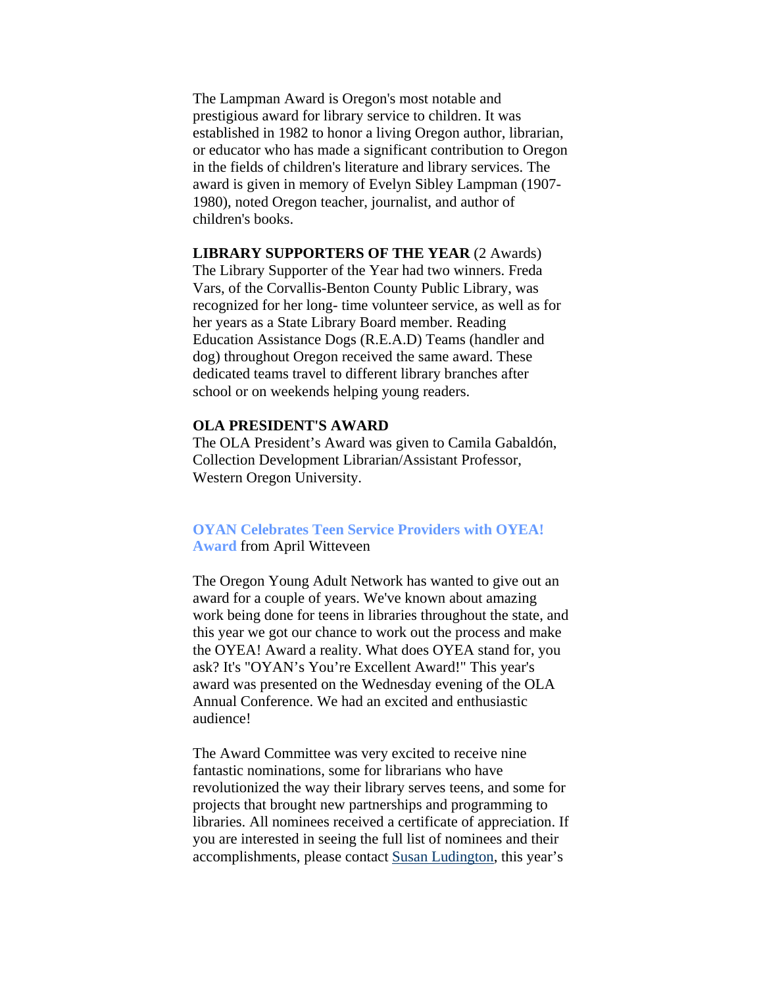<span id="page-6-0"></span>The Lampman Award is Oregon's most notable and prestigious award for library service to children. It was established in 1982 to honor a living Oregon author, librarian, or educator who has made a significant contribution to Oregon in the fields of children's literature and library services. The award is given in memory of Evelyn Sibley Lampman (1907- 1980), noted Oregon teacher, journalist, and author of children's books.

**LIBRARY SUPPORTERS OF THE YEAR** (2 Awards) The Library Supporter of the Year had two winners. Freda Vars, of the Corvallis-Benton County Public Library, was recognized for her long- time volunteer service, as well as for her years as a State Library Board member. Reading Education Assistance Dogs (R.E.A.D) Teams (handler and dog) throughout Oregon received the same award. These dedicated teams travel to different library branches after school or on weekends helping young readers.

#### **OLA PRESIDENT'S AWARD**

The OLA President's Award was given to Camila Gabaldón, Collection Development Librarian/Assistant Professor, Western Oregon University.

### **OYAN Celebrates Teen Service Providers with OYEA! Award** from April Witteveen

The Oregon Young Adult Network has wanted to give out an award for a couple of years. We've known about amazing work being done for teens in libraries throughout the state, and this year we got our chance to work out the process and make the OYEA! Award a reality. What does OYEA stand for, you ask? It's "OYAN's You're Excellent Award!" This year's award was presented on the Wednesday evening of the OLA Annual Conference. We had an excited and enthusiastic audience!

The Award Committee was very excited to receive nine fantastic nominations, some for librarians who have revolutionized the way their library serves teens, and some for projects that brought new partnerships and programming to libraries. All nominees received a certificate of appreciation. If you are interested in seeing the full list of nominees and their accomplishments, please contact [Susan Ludington](mailto:susanlu@multcolib.org), this year's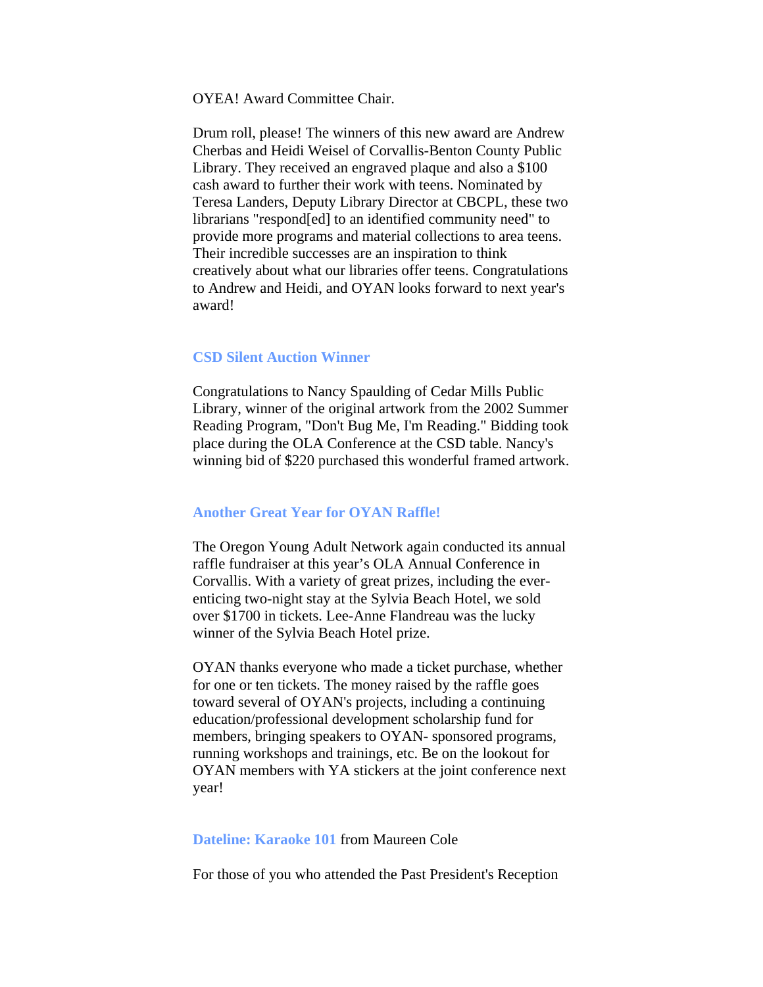<span id="page-7-0"></span>OYEA! Award Committee Chair.

Drum roll, please! The winners of this new award are Andrew Cherbas and Heidi Weisel of Corvallis-Benton County Public Library. They received an engraved plaque and also a \$100 cash award to further their work with teens. Nominated by Teresa Landers, Deputy Library Director at CBCPL, these two librarians "respond[ed] to an identified community need" to provide more programs and material collections to area teens. Their incredible successes are an inspiration to think creatively about what our libraries offer teens. Congratulations to Andrew and Heidi, and OYAN looks forward to next year's award!

#### **CSD Silent Auction Winner**

Congratulations to Nancy Spaulding of Cedar Mills Public Library, winner of the original artwork from the 2002 Summer Reading Program, "Don't Bug Me, I'm Reading." Bidding took place during the OLA Conference at the CSD table. Nancy's winning bid of \$220 purchased this wonderful framed artwork.

#### **Another Great Year for OYAN Raffle!**

The Oregon Young Adult Network again conducted its annual raffle fundraiser at this year's OLA Annual Conference in Corvallis. With a variety of great prizes, including the everenticing two-night stay at the Sylvia Beach Hotel, we sold over \$1700 in tickets. Lee-Anne Flandreau was the lucky winner of the Sylvia Beach Hotel prize.

OYAN thanks everyone who made a ticket purchase, whether for one or ten tickets. The money raised by the raffle goes toward several of OYAN's projects, including a continuing education/professional development scholarship fund for members, bringing speakers to OYAN- sponsored programs, running workshops and trainings, etc. Be on the lookout for OYAN members with YA stickers at the joint conference next year!

#### **Dateline: Karaoke 101** from Maureen Cole

For those of you who attended the Past President's Reception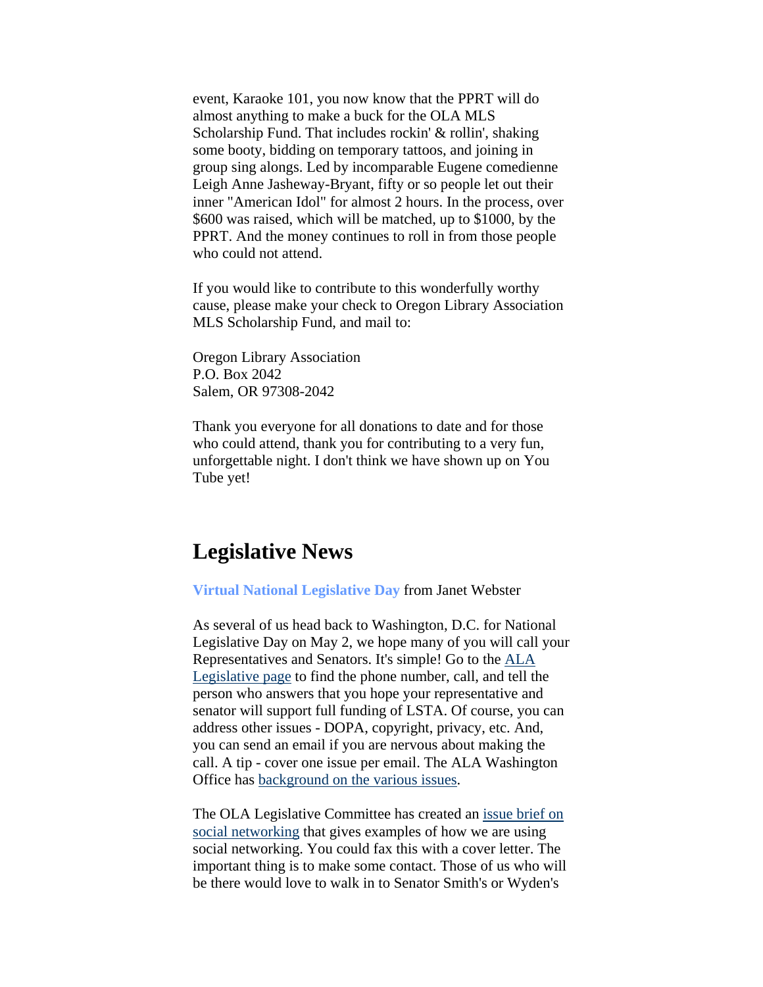<span id="page-8-0"></span>event, Karaoke 101, you now know that the PPRT will do almost anything to make a buck for the OLA MLS Scholarship Fund. That includes rockin' & rollin', shaking some booty, bidding on temporary tattoos, and joining in group sing alongs. Led by incomparable Eugene comedienne Leigh Anne Jasheway-Bryant, fifty or so people let out their inner "American Idol" for almost 2 hours. In the process, over \$600 was raised, which will be matched, up to \$1000, by the PPRT. And the money continues to roll in from those people who could not attend.

If you would like to contribute to this wonderfully worthy cause, please make your check to Oregon Library Association MLS Scholarship Fund, and mail to:

Oregon Library Association P.O. Box 2042 Salem, OR 97308-2042

Thank you everyone for all donations to date and for those who could attend, thank you for contributing to a very fun, unforgettable night. I don't think we have shown up on You Tube yet!

## **Legislative News**

**Virtual National Legislative Day** from Janet Webster

As several of us head back to Washington, D.C. for National Legislative Day on May 2, we hope many of you will call your Representatives and Senators. It's simple! Go to the [ALA](http://www.capwiz.com/ala/home/)  [Legislative page](http://www.capwiz.com/ala/home/) to find the phone number, call, and tell the person who answers that you hope your representative and senator will support full funding of LSTA. Of course, you can address other issues - DOPA, copyright, privacy, etc. And, you can send an email if you are nervous about making the call. A tip - cover one issue per email. The ALA Washington Office has [background on the various issues.](http://www.ala.org/ala/issues/fedissues.htm)

The OLA Legislative Committee has created an [issue brief on](http://olanetwork.wikispaces.com/OLA%27s+Issue+Papers+for+the+2007+Legislature)  [social networking](http://olanetwork.wikispaces.com/OLA%27s+Issue+Papers+for+the+2007+Legislature) that gives examples of how we are using social networking. You could fax this with a cover letter. The important thing is to make some contact. Those of us who will be there would love to walk in to Senator Smith's or Wyden's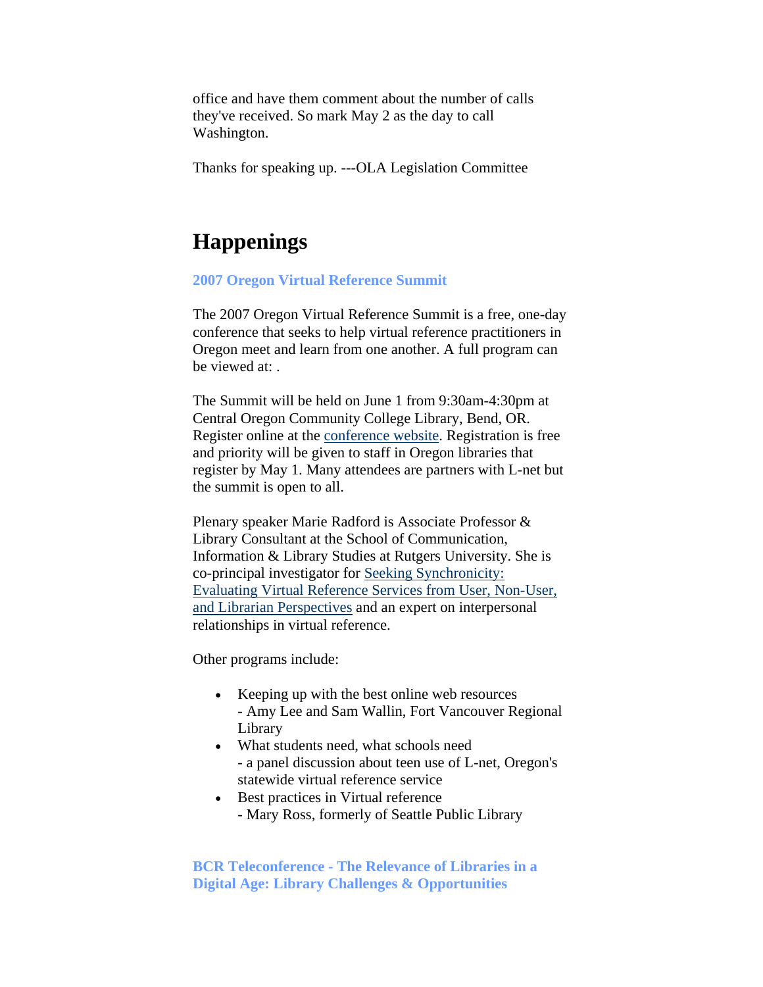<span id="page-9-0"></span>office and have them comment about the number of calls they've received. So mark May 2 as the day to call Washington.

Thanks for speaking up. ---OLA Legislation Committee

## **Happenings**

#### **2007 Oregon Virtual Reference Summit**

The 2007 Oregon Virtual Reference Summit is a free, one-day conference that seeks to help virtual reference practitioners in Oregon meet and learn from one another. A full program can be viewed at:

The Summit will be held on June 1 from 9:30am-4:30pm at Central Oregon Community College Library, Bend, OR. Register online at the [conference website](http://www.oregonlibraries.net/summit/register). Registration is free and priority will be given to staff in Oregon libraries that register by May 1. Many attendees are partners with L-net but the summit is open to all.

Plenary speaker Marie Radford is Associate Professor & Library Consultant at the School of Communication, Information & Library Studies at Rutgers University. She is co-principal investigator for [Seeking Synchronicity:](http://www.oclc.org/research/projects/synchronicity/)  [Evaluating Virtual Reference Services from User, Non-User,](http://www.oclc.org/research/projects/synchronicity/)  [and Librarian Perspectives](http://www.oclc.org/research/projects/synchronicity/) and an expert on interpersonal relationships in virtual reference.

Other programs include:

- Keeping up with the best online web resources - Amy Lee and Sam Wallin, Fort Vancouver Regional Library
- What students need, what schools need - a panel discussion about teen use of L-net, Oregon's statewide virtual reference service
- Best practices in Virtual reference
	- Mary Ross, formerly of Seattle Public Library

**BCR Teleconference - The Relevance of Libraries in a Digital Age: Library Challenges & Opportunities**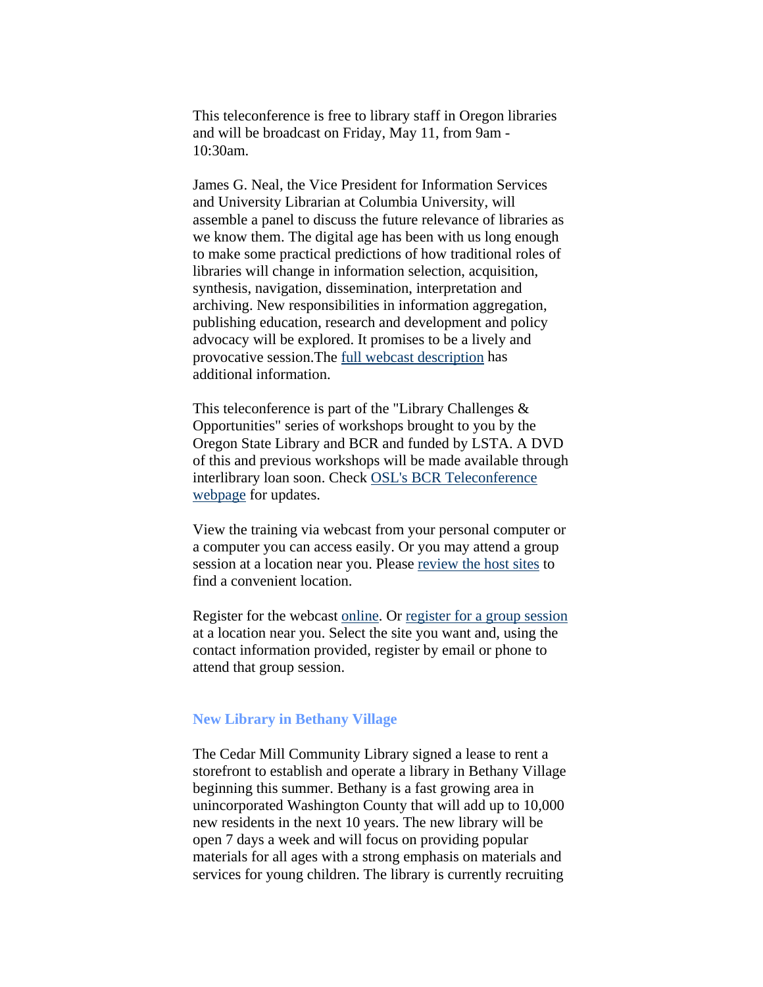<span id="page-10-0"></span>This teleconference is free to library staff in Oregon libraries and will be broadcast on Friday, May 11, from 9am - 10:30am.

James G. Neal, the Vice President for Information Services and University Librarian at Columbia University, will assemble a panel to discuss the future relevance of libraries as we know them. The digital age has been with us long enough to make some practical predictions of how traditional roles of libraries will change in information selection, acquisition, synthesis, navigation, dissemination, interpretation and archiving. New responsibilities in information aggregation, publishing education, research and development and policy advocacy will be explored. It promises to be a lively and provocative session.The [full webcast description](http://www.dupagepress.com/COD/index.php?id=1244) has additional information.

This teleconference is part of the "Library Challenges & Opportunities" series of workshops brought to you by the Oregon State Library and BCR and funded by LSTA. A DVD of this and previous workshops will be made available through interlibrary loan soon. Check [OSL's BCR Teleconference](http://oregon.gov/OSL/LD/technology/#BCR_Teleconference_Opportunities_
for_2006___2007)  [webpage](http://oregon.gov/OSL/LD/technology/#BCR_Teleconference_Opportunities_
for_2006___2007) for updates.

View the training via webcast from your personal computer or a computer you can access easily. Or you may attend a group session at a location near you. Please [review the host sites](http://bcr.org/training/teleconferences/sites/oregon/lib-digital.html) to find a convenient location.

Register for the webcast [online](http://bcr.org/training/teleconferences/register.html). Or [register for a group session](http://bcr.org/training/teleconferences/sites/oregon/next-gen.html) at a location near you. Select the site you want and, using the contact information provided, register by email or phone to attend that group session.

#### **New Library in Bethany Village**

The Cedar Mill Community Library signed a lease to rent a storefront to establish and operate a library in Bethany Village beginning this summer. Bethany is a fast growing area in unincorporated Washington County that will add up to 10,000 new residents in the next 10 years. The new library will be open 7 days a week and will focus on providing popular materials for all ages with a strong emphasis on materials and services for young children. The library is currently recruiting